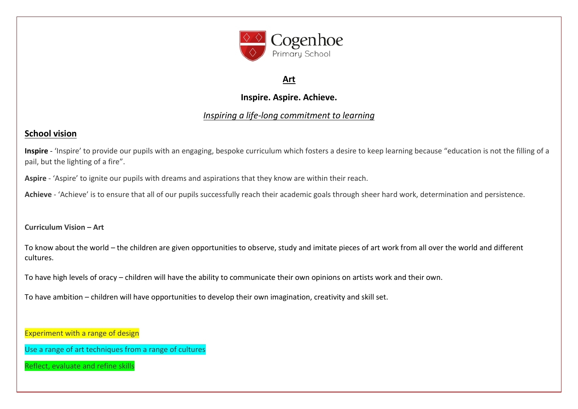

# **Art**

# **Inspire. Aspire. Achieve.**

## *Inspiring a life-long commitment to learning*

# **School vision**

**Inspire** - 'Inspire' to provide our pupils with an engaging, bespoke curriculum which fosters a desire to keep learning because "education is not the filling of a pail, but the lighting of a fire".

**Aspire** - 'Aspire' to ignite our pupils with dreams and aspirations that they know are within their reach.

**Achieve** - 'Achieve' is to ensure that all of our pupils successfully reach their academic goals through sheer hard work, determination and persistence.

**Curriculum Vision – Art** 

To know about the world – the children are given opportunities to observe, study and imitate pieces of art work from all over the world and different cultures.

To have high levels of oracy – children will have the ability to communicate their own opinions on artists work and their own.

To have ambition – children will have opportunities to develop their own imagination, creativity and skill set.

Experiment with a range of design

Use a range of art techniques from a range of cultures

Reflect, evaluate and refine skills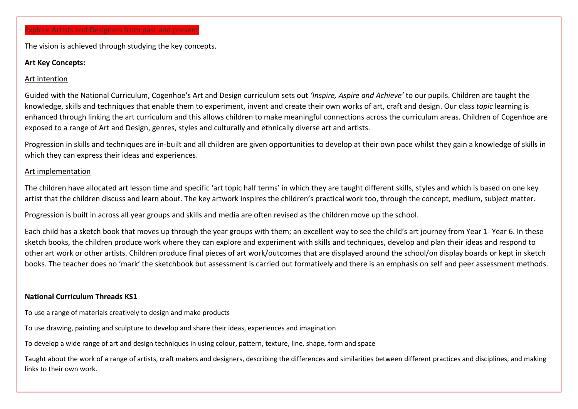### Explore Artists and Designers from past and present

The vision is achieved through studying the key concepts.

#### **Art Key Concepts:**

#### Art intention

Guided with the National Curriculum, Cogenhoe's Art and Design curriculum sets out *'Inspire, Aspire and Achieve'* to our pupils. Children are taught the knowledge, skills and techniques that enable them to experiment, invent and create their own works of art, craft and design. Our class *topic* learning is enhanced through linking the art curriculum and this allows children to make meaningful connections across the curriculum areas. Children of Cogenhoe are exposed to a range of Art and Design, genres, styles and culturally and ethnically diverse art and artists.

Progression in skills and techniques are in-built and all children are given opportunities to develop at their own pace whilst they gain a knowledge of skills in which they can express their ideas and experiences.

#### Art implementation

The children have allocated art lesson time and specific 'art topic half terms' in which they are taught different skills, styles and which is based on one key artist that the children discuss and learn about. The key artwork inspires the children's practical work too, through the concept, medium, subject matter.

Progression is built in across all year groups and skills and media are often revised as the children move up the school.

Each child has a sketch book that moves up through the year groups with them; an excellent way to see the child's art journey from Year 1- Year 6. In these sketch books, the children produce work where they can explore and experiment with skills and techniques, develop and plan their ideas and respond to other art work or other artists. Children produce final pieces of art work/outcomes that are displayed around the school/on display boards or kept in sketch books. The teacher does no 'mark' the sketchbook but assessment is carried out formatively and there is an emphasis on self and peer assessment methods.

#### **National Curriculum Threads KS1**

To use a range of materials creatively to design and make products

To use drawing, painting and sculpture to develop and share their ideas, experiences and imagination

To develop a wide range of art and design techniques in using colour, pattern, texture, line, shape, form and space

Taught about the work of a range of artists, craft makers and designers, describing the differences and similarities between different practices and disciplines, and making links to their own work.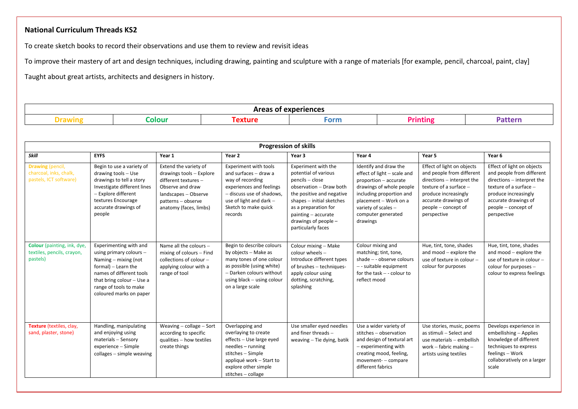### **National Curriculum Threads KS2**

To create sketch books to record their observations and use them to review and revisit ideas

To improve their mastery of art and design techniques, including drawing, painting and sculpture with a range of materials [for example, pencil, charcoal, paint, clay]

Taught about great artists, architects and designers in history.

|  | non |  |  |  |  |  |  |
|--|-----|--|--|--|--|--|--|

|                                                                             | <b>Progression of skills</b>                                                                                                                                                                                     |                                                                                                                                                                       |                                                                                                                                                                                                  |                                                                                                                                                                                                                                                    |                                                                                                                                                                                                                           |                                                                                                                                                                                                         |                                                                                                                                                                                                       |  |  |
|-----------------------------------------------------------------------------|------------------------------------------------------------------------------------------------------------------------------------------------------------------------------------------------------------------|-----------------------------------------------------------------------------------------------------------------------------------------------------------------------|--------------------------------------------------------------------------------------------------------------------------------------------------------------------------------------------------|----------------------------------------------------------------------------------------------------------------------------------------------------------------------------------------------------------------------------------------------------|---------------------------------------------------------------------------------------------------------------------------------------------------------------------------------------------------------------------------|---------------------------------------------------------------------------------------------------------------------------------------------------------------------------------------------------------|-------------------------------------------------------------------------------------------------------------------------------------------------------------------------------------------------------|--|--|
| <b>Skill</b>                                                                | <b>EYFS</b>                                                                                                                                                                                                      | Year 1                                                                                                                                                                | Year 2                                                                                                                                                                                           | Year 3                                                                                                                                                                                                                                             | Year 4                                                                                                                                                                                                                    | Year 5                                                                                                                                                                                                  | Year 6                                                                                                                                                                                                |  |  |
| <b>Drawing</b> (pencil,<br>charcoal, inks, chalk,<br>pastels, ICT software) | Begin to use a variety of<br>drawing tools - Use<br>drawings to tell a story<br>Investigate different lines<br>- Explore different<br>textures Encourage<br>accurate drawings of<br>people                       | Extend the variety of<br>drawings tools - Explore<br>different textures -<br>Observe and draw<br>landscapes - Observe<br>patterns - observe<br>anatomy (faces, limbs) | <b>Experiment with tools</b><br>and surfaces - draw a<br>way of recording<br>experiences and feelings<br>- discuss use of shadows,<br>use of light and dark -<br>Sketch to make quick<br>records | Experiment with the<br>potential of various<br>pencils - close<br>observation - Draw both<br>the positive and negative<br>shapes - initial sketches<br>as a preparation for<br>$painting - accurate$<br>drawings of people -<br>particularly faces | Identify and draw the<br>effect of light - scale and<br>proportion - accurate<br>drawings of whole people<br>including proportion and<br>placement - Work on a<br>variety of scales $-$<br>computer generated<br>drawings | Effect of light on objects<br>and people from different<br>directions - interpret the<br>texture of a surface $-$<br>produce increasingly<br>accurate drawings of<br>people – concept of<br>perspective | Effect of light on objects<br>and people from different<br>directions - interpret the<br>texture of a surface -<br>produce increasingly<br>accurate drawings of<br>people – concept of<br>perspective |  |  |
| Colour (painting, ink, dye,<br>textiles, pencils, crayon,<br>pastels)       | Experimenting with and<br>using primary colours -<br>Naming – mixing (not<br>formal) - Learn the<br>names of different tools<br>that bring colour $-$ Use a<br>range of tools to make<br>coloured marks on paper | Name all the colours -<br>mixing of colours - Find<br>collections of colour -<br>applying colour with a<br>range of tool                                              | Begin to describe colours<br>by objects - Make as<br>many tones of one colour<br>as possible (using white)<br>- Darken colours without<br>using black - using colour<br>on a large scale         | Colour mixing - Make<br>colour wheels -<br>Introduce different types<br>of brushes - techniques-<br>apply colour using<br>dotting, scratching,<br>splashing                                                                                        | Colour mixing and<br>matching; tint, tone,<br>shade - - observe colours<br>-- suitable equipment<br>for the task $-$ - colour to<br>reflect mood                                                                          | Hue, tint, tone, shades<br>and mood - explore the<br>use of texture in colour -<br>colour for purposes                                                                                                  | Hue, tint, tone, shades<br>and mood - explore the<br>use of texture in colour -<br>colour for purposes $-$<br>colour to express feelings                                                              |  |  |
| Texture (textiles, clay,<br>sand, plaster, stone)                           | Handling, manipulating<br>and enjoying using<br>materials - Sensory<br>experience - Simple<br>collages - simple weaving                                                                                          | Weaving $-$ collage $-$ Sort<br>according to specific<br>qualities - how textiles<br>create things                                                                    | Overlapping and<br>overlaying to create<br>effects - Use large eyed<br>needles - running<br>stitches - Simple<br>appliqué work - Start to<br>explore other simple<br>stitches - collage          | Use smaller eyed needles<br>and finer threads -<br>weaving - Tie dying, batik                                                                                                                                                                      | Use a wider variety of<br>stitches - observation<br>and design of textural art<br>$-$ experimenting with<br>creating mood, feeling,<br>movement- - compare<br>different fabrics                                           | Use stories, music, poems<br>as stimuli - Select and<br>use materials - embellish<br>work – fabric making –<br>artists using textiles                                                                   | Develops experience in<br>embellishing - Applies<br>knowledge of different<br>techniques to express<br>feelings - Work<br>collaboratively on a larger<br>scale                                        |  |  |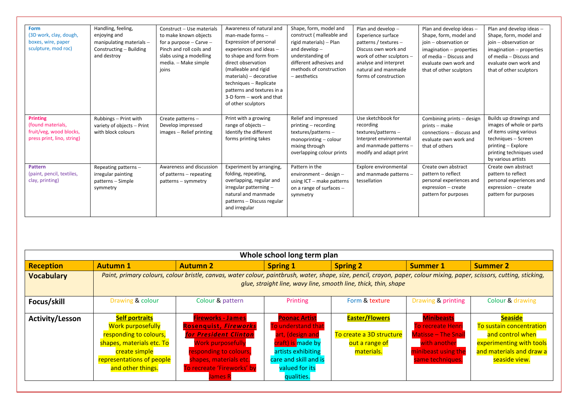| <b>Form</b><br>(3D work, clay, dough,<br>boxes, wire, paper<br>sculpture, mod roc)            | Handling, feeling,<br>enjoying and<br>manipulating materials -<br>Constructing - Building<br>and destroy | Construct - Use materials<br>to make known objects<br>for a purpose $-$ Carve $-$<br>Pinch and roll coils and<br>slabs using a modelling<br>media. - Make simple<br>joins | Awareness of natural and<br>man-made forms $-$<br>Expression of personal<br>experiences and ideas -<br>to shape and form from<br>direct observation<br>(malleable and rigid<br>$materials) - decorative$<br>techniques - Replicate<br>patterns and textures in a<br>3-D form - work and that | Shape, form, model and<br>construct (malleable and<br>rigid materials) - Plan<br>and develop $-$<br>understanding of<br>different adhesives and<br>methods of construction<br>$-$ aesthetics | Plan and develop -<br><b>Experience surface</b><br>patterns / textures $-$<br>Discuss own work and<br>work of other sculptors -<br>analyse and interpret<br>natural and manmade<br>forms of construction | Plan and develop ideas -<br>Shape, form, model and<br>ioin - observation or<br>$imagination - properties$<br>of media - Discuss and<br>evaluate own work and<br>that of other sculptors | Plan and develop ideas -<br>Shape, form, model and<br>ioin - observation or<br>imagination - properties<br>of media - Discuss and<br>evaluate own work and<br>that of other sculptors |
|-----------------------------------------------------------------------------------------------|----------------------------------------------------------------------------------------------------------|---------------------------------------------------------------------------------------------------------------------------------------------------------------------------|----------------------------------------------------------------------------------------------------------------------------------------------------------------------------------------------------------------------------------------------------------------------------------------------|----------------------------------------------------------------------------------------------------------------------------------------------------------------------------------------------|----------------------------------------------------------------------------------------------------------------------------------------------------------------------------------------------------------|-----------------------------------------------------------------------------------------------------------------------------------------------------------------------------------------|---------------------------------------------------------------------------------------------------------------------------------------------------------------------------------------|
| <b>Printing</b><br>(found materials,<br>fruit/veg, wood blocks,<br>press print, lino, string) | Rubbings - Print with<br>variety of objects - Print<br>with block colours                                | Create patterns -<br>Develop impressed<br>images - Relief printing                                                                                                        | of other sculptors<br>Print with a growing<br>range of objects $-$<br>Identify the different<br>forms printing takes                                                                                                                                                                         | Relief and impressed<br>printing – recording<br>textures/patterns-<br>monoprinting $-$ colour<br>mixing through<br>overlapping colour prints                                                 | Use sketchbook for<br>recording<br>textures/patterns $-$<br>Interpret environmental<br>and manmade patterns -<br>modify and adapt print                                                                  | Combining prints - design<br>prints – make<br>connections - discuss and<br>evaluate own work and<br>that of others                                                                      | Builds up drawings and<br>images of whole or parts<br>of items using various<br>techniques - Screen<br>printing - Explore<br>printing techniques used<br>by various artists           |
| <b>Pattern</b><br>(paint, pencil, textiles,<br>clay, printing)                                | Repeating patterns -<br>irregular painting<br>patterns - Simple<br>symmetry                              | Awareness and discussion<br>of patterns - repeating<br>patterns – symmetry                                                                                                | Experiment by arranging,<br>folding, repeating,<br>overlapping, regular and<br>irregular patterning -<br>natural and manmade<br>patterns - Discuss regular<br>and irregular                                                                                                                  | Pattern in the<br>environment $-$ design $-$<br>using $ICT$ – make patterns<br>on a range of surfaces $-$<br>symmetry                                                                        | Explore environmental<br>and manmade patterns -<br>tessellation                                                                                                                                          | Create own abstract<br>pattern to reflect<br>personal experiences and<br>expression - create<br>pattern for purposes                                                                    | Create own abstract<br>pattern to reflect<br>personal experiences and<br>expression - create<br>pattern for purposes                                                                  |

| Whole school long term plan |                                                                                                                                                                                                                                            |                                                                                                                                                                                                            |                                                                                                                                                                    |                                                                                   |                                                                                                                                        |                                                                                                                                         |  |  |  |
|-----------------------------|--------------------------------------------------------------------------------------------------------------------------------------------------------------------------------------------------------------------------------------------|------------------------------------------------------------------------------------------------------------------------------------------------------------------------------------------------------------|--------------------------------------------------------------------------------------------------------------------------------------------------------------------|-----------------------------------------------------------------------------------|----------------------------------------------------------------------------------------------------------------------------------------|-----------------------------------------------------------------------------------------------------------------------------------------|--|--|--|
| <b>Reception</b>            | <b>Autumn 1</b>                                                                                                                                                                                                                            | <b>Autumn 2</b>                                                                                                                                                                                            | <b>Spring 1</b>                                                                                                                                                    | <b>Spring 2</b>                                                                   | <b>Summer 1</b>                                                                                                                        | <b>Summer 2</b>                                                                                                                         |  |  |  |
| <b>Vocabulary</b>           | Paint, primary colours, colour bristle, canvas, water colour, paintbrush, water, shape, size, pencil, crayon, paper, colour mixing, paper, scissors, cutting, sticking,<br>glue, straight line, wavy line, smooth line, thick, thin, shape |                                                                                                                                                                                                            |                                                                                                                                                                    |                                                                                   |                                                                                                                                        |                                                                                                                                         |  |  |  |
| Focus/skill                 | Drawing & colour                                                                                                                                                                                                                           | Colour & pattern                                                                                                                                                                                           | Printing                                                                                                                                                           | Form & texture                                                                    | Drawing & printing                                                                                                                     | Colour & drawing                                                                                                                        |  |  |  |
| <b>Activity/Lesson</b>      | <b>Self portraits</b><br><b>Work purposefully</b><br>responding to colours,<br>shapes, materials etc. To<br>create simple<br>representations of people<br>and other things.                                                                | <b>Fireworks - James</b><br><b>Rosenquist, Fireworks</b><br>for President Clinton<br><b>Work purposefully</b><br>responding to colours,<br>shapes, materials etc.<br>To recreate 'Fireworks' by<br>lames R | <b>Poonac Artist</b><br>To understand that<br>art, (design and<br>craft) is made by<br>artists exhibiting<br>care and skill and is<br>valued for its<br>qualities. | <b>Easter/Flowers</b><br>To create a 3D structure<br>out a range of<br>materials. | <b>Minibeasts</b><br><b>To recreate Henri</b><br><b>Matisse - The Snail</b><br>with another<br>minibeast using the<br>same techniques. | <b>Seaside</b><br>To sustain concentration<br>and control when<br>experimenting with tools<br>and materials and draw a<br>seaside view. |  |  |  |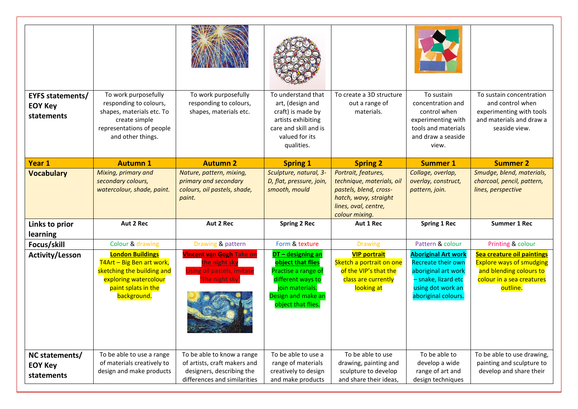| <b>EYFS statements/</b><br><b>EOY Key</b><br>statements | To work purposefully<br>responding to colours,<br>shapes, materials etc. To<br>create simple<br>representations of people<br>and other things.    | To work purposefully<br>responding to colours,<br>shapes, materials etc.                                                | To understand that<br>art, (design and<br>craft) is made by<br>artists exhibiting<br>care and skill and is<br>valued for its<br>qualities.        | To create a 3D structure<br>out a range of<br>materials.                                                                                      | To sustain<br>concentration and<br>control when<br>experimenting with<br>tools and materials<br>and draw a seaside<br>view.                       | To sustain concentration<br>and control when<br>experimenting with tools<br>and materials and draw a<br>seaside view.             |
|---------------------------------------------------------|---------------------------------------------------------------------------------------------------------------------------------------------------|-------------------------------------------------------------------------------------------------------------------------|---------------------------------------------------------------------------------------------------------------------------------------------------|-----------------------------------------------------------------------------------------------------------------------------------------------|---------------------------------------------------------------------------------------------------------------------------------------------------|-----------------------------------------------------------------------------------------------------------------------------------|
| Year 1                                                  | <b>Autumn 1</b>                                                                                                                                   | <b>Autumn 2</b>                                                                                                         | <b>Spring 1</b>                                                                                                                                   | <b>Spring 2</b>                                                                                                                               | <b>Summer 1</b>                                                                                                                                   | <b>Summer 2</b>                                                                                                                   |
| <b>Vocabulary</b>                                       | Mixing, primary and<br>secondary colours,<br>watercolour, shade, paint.                                                                           | Nature, pattern, mixing,<br>primary and secondary<br>colours, oil pastels, shade,<br>paint.                             | Sculpture, natural, 3-<br>D, flat, pressure, join,<br>smooth, mould                                                                               | Portrait, features,<br>technique, materials, oil<br>pastels, blend, cross-<br>hatch, wavy, straight<br>lines, oval, centre,<br>colour mixing. | Collage, overlap,<br>overlay, construct,<br>pattern, join.                                                                                        | Smudge, blend, materials,<br>charcoal, pencil, pattern,<br>lines, perspective                                                     |
| Links to prior<br>learning                              | Aut 2 Rec                                                                                                                                         | Aut 2 Rec                                                                                                               | <b>Spring 2 Rec</b>                                                                                                                               | Aut 1 Rec                                                                                                                                     | <b>Spring 1 Rec</b>                                                                                                                               | <b>Summer 1 Rec</b>                                                                                                               |
| Focus/skill                                             | Colour & drawing                                                                                                                                  | Drawing & pattern                                                                                                       | Form & texture                                                                                                                                    | <b>Drawing</b>                                                                                                                                | Pattern & colour                                                                                                                                  | Printing & colour                                                                                                                 |
| <b>Activity/Lesson</b>                                  | <b>London Buildings</b><br>T4Art - Big Ben art work,<br>sketching the building and<br>exploring watercolour<br>paint splats in the<br>background. | <b>Vincent van Gogh Take on</b><br>he night sky<br><b>Jsing oil pastels, imitate</b><br>he night sky                    | DT - designing an<br>object that flies<br>Practise a range of<br>different ways to<br>join materials.<br>Design and make an<br>object that flies. | <b>VIP portrait</b><br>Sketch a portrait on one<br>of the VIP's that the<br>class are currently<br>looking at                                 | <b>Aboriginal Art work</b><br><b>Recreate their own</b><br>aboriginal art work<br>- snake, lizard etc<br>using dot work an<br>aboriginal colours. | Sea creature oil paintings<br><b>Explore ways of smudging</b><br>and blending colours to<br>colour in a sea creatures<br>outline. |
| NC statements/<br><b>EOY Key</b><br>statements          | To be able to use a range<br>of materials creatively to<br>design and make products                                                               | To be able to know a range<br>of artists, craft makers and<br>designers, describing the<br>differences and similarities | To be able to use a<br>range of materials<br>creatively to design<br>and make products                                                            | To be able to use<br>drawing, painting and<br>sculpture to develop<br>and share their ideas,                                                  | To be able to<br>develop a wide<br>range of art and<br>design techniques                                                                          | To be able to use drawing,<br>painting and sculpture to<br>develop and share their                                                |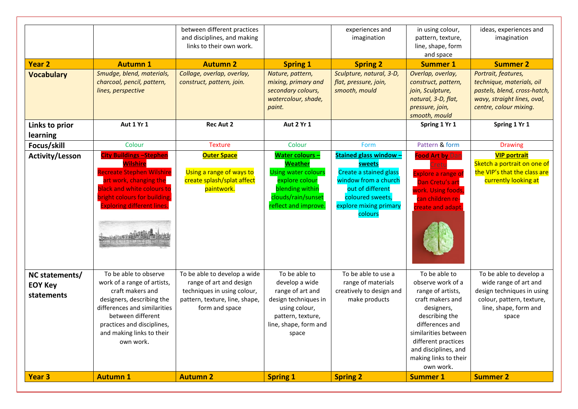| <b>Year 2</b><br><b>Vocabulary</b>             | <b>Autumn 1</b><br>Smudge, blend, materials,<br>charcoal, pencil, pattern,                                                                                                                                                         | between different practices<br>and disciplines, and making<br>links to their own work.<br><b>Autumn 2</b><br>Collage, overlap, overlay,<br>construct, pattern, join. | <b>Spring 1</b><br>Nature, pattern,<br>mixing, primary and                                                                                                | experiences and<br>imagination<br><b>Spring 2</b><br>Sculpture, natural, 3-D,<br>flat, pressure, join,                                                                 | in using colour,<br>pattern, texture,<br>line, shape, form<br>and space<br><b>Summer 1</b><br>Overlap, overlay,<br>construct, pattern,                                                                                                      | ideas, experiences and<br>imagination<br><b>Summer 2</b><br>Portrait, features,<br>technique, materials, oil                                  |
|------------------------------------------------|------------------------------------------------------------------------------------------------------------------------------------------------------------------------------------------------------------------------------------|----------------------------------------------------------------------------------------------------------------------------------------------------------------------|-----------------------------------------------------------------------------------------------------------------------------------------------------------|------------------------------------------------------------------------------------------------------------------------------------------------------------------------|---------------------------------------------------------------------------------------------------------------------------------------------------------------------------------------------------------------------------------------------|-----------------------------------------------------------------------------------------------------------------------------------------------|
|                                                | lines, perspective                                                                                                                                                                                                                 |                                                                                                                                                                      | secondary colours,<br>watercolour, shade,<br>paint.                                                                                                       | smooth, mould                                                                                                                                                          | join, Sculpture,<br>natural, 3-D, flat,<br>pressure, join,<br>smooth, mould                                                                                                                                                                 | pastels, blend, cross-hatch,<br>wavy, straight lines, oval,<br>centre, colour mixing.                                                         |
| Links to prior<br>learning                     | Aut 1 Yr 1                                                                                                                                                                                                                         | <b>Rec Aut 2</b>                                                                                                                                                     | <b>Aut 2 Yr 1</b>                                                                                                                                         |                                                                                                                                                                        | Spring 1 Yr 1                                                                                                                                                                                                                               | Spring 1 Yr 1                                                                                                                                 |
| Focus/skill                                    | Colour                                                                                                                                                                                                                             | <b>Texture</b>                                                                                                                                                       | Colour                                                                                                                                                    | Form                                                                                                                                                                   | Pattern & form                                                                                                                                                                                                                              | <b>Drawing</b>                                                                                                                                |
| <b>Activity/Lesson</b>                         | <u>City Buildings -Stephen</u><br><b>Wilshire</b><br>Recreate Stephen Wilshire<br>art work, changing the<br>black and white colours to<br>bright colours for building.<br><b>Exploring different lines.</b>                        | <b>Outer Space</b><br>Using a range of ways to<br>create splash/splat affect<br>paintwork.                                                                           | <b>Water colours -</b><br><b>Weather</b><br><b>Using water colours</b><br>explore colour<br>blending within<br>clouds/rain/sunset<br>reflect and improve. | <b>Stained glass window -</b><br>sweets<br>Create a stained glass<br>window from a church<br>out of different<br>coloured sweets,<br>explore mixing primary<br>colours | <b>Food Art by Dan</b><br><b>Explore a range of</b><br>Dan Cretu's art<br>work. Using foods,<br>can children re-<br>create and adapt                                                                                                        | <b>VIP portrait</b><br>Sketch a portrait on one of<br>the VIP's that the class are<br>currently looking at                                    |
| NC statements/<br><b>EOY Key</b><br>statements | To be able to observe<br>work of a range of artists,<br>craft makers and<br>designers, describing the<br>differences and similarities<br>between different<br>practices and disciplines,<br>and making links to their<br>own work. | To be able to develop a wide<br>range of art and design<br>techniques in using colour,<br>pattern, texture, line, shape,<br>form and space                           | To be able to<br>develop a wide<br>range of art and<br>design techniques in<br>using colour,<br>pattern, texture,<br>line, shape, form and<br>space       | To be able to use a<br>range of materials<br>creatively to design and<br>make products                                                                                 | To be able to<br>observe work of a<br>range of artists,<br>craft makers and<br>designers,<br>describing the<br>differences and<br>similarities between<br>different practices<br>and disciplines, and<br>making links to their<br>own work. | To be able to develop a<br>wide range of art and<br>design techniques in using<br>colour, pattern, texture,<br>line, shape, form and<br>space |
| Year <sub>3</sub>                              | <b>Autumn 1</b>                                                                                                                                                                                                                    | <b>Autumn 2</b>                                                                                                                                                      | <b>Spring 1</b>                                                                                                                                           | <b>Spring 2</b>                                                                                                                                                        | <b>Summer 1</b>                                                                                                                                                                                                                             | <b>Summer 2</b>                                                                                                                               |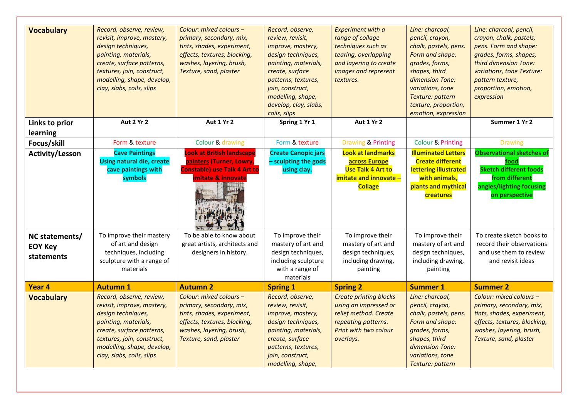| <b>Vocabulary</b>                              | Record, observe, review,<br>revisit, improve, mastery,<br>design techniques,<br>painting, materials,<br>create, surface patterns,<br>textures, join, construct,<br>modelling, shape, develop,<br>clay, slabs, coils, slips | Colour: mixed colours -<br>primary, secondary, mix,<br>tints, shades, experiment,<br>effects, textures, blocking,<br>washes, layering, brush,<br>Texture, sand, plaster | Record, observe,<br>review, revisit,<br>improve, mastery,<br>design techniques,<br>painting, materials,<br>create, surface<br>patterns, textures,<br>join, construct,<br>modelling, shape,<br>develop, clay, slabs,<br>coils, slips | <b>Experiment with a</b><br>range of collage<br>techniques such as<br>tearing, overlapping<br>and layering to create<br>images and represent<br>textures. | Line: charcoal,<br>pencil, crayon,<br>chalk, pastels, pens.<br>Form and shape:<br>grades, forms,<br>shapes, third<br>dimension Tone:<br>variations, tone<br>Texture: pattern<br>texture, proportion,<br>emotion, expression | Line: charcoal, pencil,<br>crayon, chalk, pastels,<br>pens. Form and shape:<br>grades, forms, shapes,<br>third dimension Tone:<br>variations, tone Texture:<br>pattern texture,<br>proportion, emotion,<br>expression |
|------------------------------------------------|----------------------------------------------------------------------------------------------------------------------------------------------------------------------------------------------------------------------------|-------------------------------------------------------------------------------------------------------------------------------------------------------------------------|-------------------------------------------------------------------------------------------------------------------------------------------------------------------------------------------------------------------------------------|-----------------------------------------------------------------------------------------------------------------------------------------------------------|-----------------------------------------------------------------------------------------------------------------------------------------------------------------------------------------------------------------------------|-----------------------------------------------------------------------------------------------------------------------------------------------------------------------------------------------------------------------|
| Links to prior<br>learning                     | Aut 2 Yr 2                                                                                                                                                                                                                 | Aut 1 Yr 2                                                                                                                                                              | Spring 1 Yr 1                                                                                                                                                                                                                       | Aut 1 Yr 2                                                                                                                                                |                                                                                                                                                                                                                             | Summer 1 Yr 2                                                                                                                                                                                                         |
| Focus/skill                                    | Form & texture                                                                                                                                                                                                             | Colour & drawing                                                                                                                                                        | Form & texture                                                                                                                                                                                                                      | <b>Drawing &amp; Printing</b>                                                                                                                             | <b>Colour &amp; Printing</b>                                                                                                                                                                                                | <b>Drawing</b>                                                                                                                                                                                                        |
| <b>Activity/Lesson</b>                         | <b>Cave Paintings</b><br><b>Using natural die, create</b><br>cave paintings with<br>symbols                                                                                                                                | <b>Look at British landscape</b><br>painters (Turner, Lowry,<br><b>Constable) use Talk 4 Art to</b><br>imitate & innovate                                               | <b>Create Canopic jars</b><br>- sculpting the gods<br>using clay.                                                                                                                                                                   | <b>Look at landmarks</b><br>across Europe<br><b>Use Talk 4 Art to</b><br>imitate and innovate -<br><b>Collage</b>                                         | <b>Illuminated Letters</b><br><b>Create different</b><br>lettering illustrated<br>with animals,<br>plants and mythical<br>creatures                                                                                         | <b>Observational sketches of</b><br>food<br><b>Sketch different foods</b><br>from different<br>angles/lighting focusing<br>on perspective                                                                             |
| NC statements/<br><b>EOY Key</b><br>statements | To improve their mastery<br>of art and design<br>techniques, including<br>sculpture with a range of<br>materials                                                                                                           | To be able to know about<br>great artists, architects and<br>designers in history.                                                                                      | To improve their<br>mastery of art and<br>design techniques,<br>including sculpture<br>with a range of<br>materials                                                                                                                 | To improve their<br>mastery of art and<br>design techniques,<br>including drawing,<br>painting                                                            | To improve their<br>mastery of art and<br>design techniques,<br>including drawing,<br>painting                                                                                                                              | To create sketch books to<br>record their observations<br>and use them to review<br>and revisit ideas                                                                                                                 |
| Year 4                                         | <b>Autumn 1</b>                                                                                                                                                                                                            | <b>Autumn 2</b>                                                                                                                                                         | <b>Spring 1</b>                                                                                                                                                                                                                     | <b>Spring 2</b>                                                                                                                                           | <b>Summer 1</b>                                                                                                                                                                                                             | <b>Summer 2</b>                                                                                                                                                                                                       |
| <b>Vocabulary</b>                              | Record, observe, review,<br>revisit, improve, mastery,<br>design techniques,<br>painting, materials,<br>create, surface patterns,<br>textures, join, construct,<br>modelling, shape, develop,<br>clay, slabs, coils, slips | Colour: mixed colours -<br>primary, secondary, mix,<br>tints, shades, experiment,<br>effects, textures, blocking,<br>washes, layering, brush,<br>Texture, sand, plaster | Record, observe,<br>review, revisit,<br>improve, mastery,<br>design techniques,<br>painting, materials,<br>create, surface<br>patterns, textures,<br>join, construct,<br>modelling, shape,                                          | <b>Create printing blocks</b><br>using an impressed or<br>relief method. Create<br>repeating patterns.<br>Print with two colour<br>overlays.              | Line: charcoal,<br>pencil, crayon,<br>chalk, pastels, pens.<br>Form and shape:<br>grades, forms,<br>shapes, third<br>dimension Tone:<br>variations, tone<br>Texture: pattern                                                | Colour: mixed colours -<br>primary, secondary, mix,<br>tints, shades, experiment,<br>effects, textures, blocking,<br>washes, layering, brush,<br>Texture, sand, plaster                                               |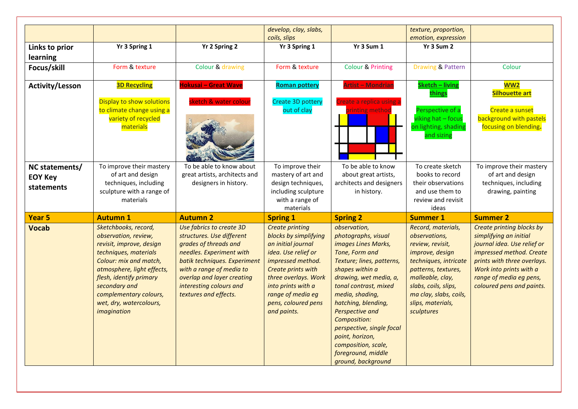| coils, slips<br>Yr 3 Sum 1<br>Yr 3 Spring 1<br>Yr 2 Spring 2<br>Yr 3 Spring 1<br>Links to prior<br>learning<br>Form & texture<br>Colour & drawing<br>Form & texture<br><b>Colour &amp; Printing</b><br>Focus/skill<br>Hokusai - Great Wave<br><b>3D Recycling</b><br><b>Artist - Mondrian</b><br><b>Roman pottery</b><br><b>Activity/Lesson</b><br>Display to show solutions<br>sketch & water colour<br>Create 3D pottery<br>reate a replica using a<br>to climate change using a<br>out of clay<br>rinting method | emotion, expression<br>Yr 3 Sum 2<br>Drawing & Pattern<br><b>Sketch - living</b><br>things<br>Perspective of a | Colour<br><b>WW2</b><br><b>Silhouette art</b> |
|---------------------------------------------------------------------------------------------------------------------------------------------------------------------------------------------------------------------------------------------------------------------------------------------------------------------------------------------------------------------------------------------------------------------------------------------------------------------------------------------------------------------|----------------------------------------------------------------------------------------------------------------|-----------------------------------------------|
|                                                                                                                                                                                                                                                                                                                                                                                                                                                                                                                     |                                                                                                                |                                               |
|                                                                                                                                                                                                                                                                                                                                                                                                                                                                                                                     |                                                                                                                |                                               |
|                                                                                                                                                                                                                                                                                                                                                                                                                                                                                                                     |                                                                                                                |                                               |
|                                                                                                                                                                                                                                                                                                                                                                                                                                                                                                                     |                                                                                                                |                                               |
|                                                                                                                                                                                                                                                                                                                                                                                                                                                                                                                     |                                                                                                                |                                               |
|                                                                                                                                                                                                                                                                                                                                                                                                                                                                                                                     |                                                                                                                | Create a sunset                               |
| variety of recycled                                                                                                                                                                                                                                                                                                                                                                                                                                                                                                 | viking hat - focus                                                                                             | background with pastels                       |
| materials                                                                                                                                                                                                                                                                                                                                                                                                                                                                                                           | on lighting, shading<br>and sizing                                                                             | focusing on blending.                         |
| To improve their mastery<br>To improve their<br>To be able to know<br>To be able to know about<br>NC statements/                                                                                                                                                                                                                                                                                                                                                                                                    | To create sketch                                                                                               | To improve their mastery                      |
| of art and design<br>great artists, architects and<br>mastery of art and<br>about great artists,<br><b>EOY Key</b>                                                                                                                                                                                                                                                                                                                                                                                                  | books to record                                                                                                | of art and design                             |
| techniques, including<br>designers in history.<br>design techniques,<br>architects and designers<br><b>statements</b>                                                                                                                                                                                                                                                                                                                                                                                               | their observations                                                                                             | techniques, including                         |
| sculpture with a range of<br>including sculpture<br>in history.                                                                                                                                                                                                                                                                                                                                                                                                                                                     | and use them to                                                                                                | drawing, painting                             |
| with a range of<br>materials<br>materials                                                                                                                                                                                                                                                                                                                                                                                                                                                                           | review and revisit<br>ideas                                                                                    |                                               |
| <b>Year 5</b><br><b>Autumn 1</b><br><b>Autumn 2</b><br><b>Spring 2</b>                                                                                                                                                                                                                                                                                                                                                                                                                                              | <b>Summer 1</b>                                                                                                | <b>Summer 2</b>                               |
| <b>Spring 1</b><br>Sketchbooks, record,<br>Use fabrics to create 3D<br><b>Create printing</b><br>observation,                                                                                                                                                                                                                                                                                                                                                                                                       | Record, materials,                                                                                             | Create printing blocks by                     |
| <b>Vocab</b><br>photographs, visual<br>observation, review,<br>structures. Use different<br>blocks by simplifying                                                                                                                                                                                                                                                                                                                                                                                                   | observations,                                                                                                  | simplifying an initial                        |
| grades of threads and<br>an initial journal<br>images Lines Marks,<br>revisit, improve, design                                                                                                                                                                                                                                                                                                                                                                                                                      | review, revisit,                                                                                               | journal idea. Use relief or                   |
| techniques, materials<br>needles. Experiment with<br>idea. Use relief or<br>Tone, Form and                                                                                                                                                                                                                                                                                                                                                                                                                          | improve, design                                                                                                | impressed method. Create                      |
| Colour: mix and match,<br>batik techniques. Experiment<br>impressed method.<br>Texture; lines, patterns,                                                                                                                                                                                                                                                                                                                                                                                                            | techniques, intricate                                                                                          | prints with three overlays.                   |
| with a range of media to<br>shapes within a<br>atmosphere, light effects,<br>Create prints with                                                                                                                                                                                                                                                                                                                                                                                                                     | patterns, textures,                                                                                            | Work into prints with a                       |
| flesh, identify primary<br>overlap and layer creating<br>three overlays. Work<br>drawing, wet media, a,                                                                                                                                                                                                                                                                                                                                                                                                             | malleable, clay,                                                                                               | range of media eg pens,                       |
| secondary and<br>interesting colours and<br>into prints with a<br>tonal contrast, mixed                                                                                                                                                                                                                                                                                                                                                                                                                             | slabs, coils, slips,                                                                                           | coloured pens and paints.                     |
| complementary colours,<br>textures and effects.<br>range of media eg<br>media, shading,                                                                                                                                                                                                                                                                                                                                                                                                                             | ma clay, slabs, coils,                                                                                         |                                               |
| hatching, blending,<br>wet, dry, watercolours,<br>pens, coloured pens                                                                                                                                                                                                                                                                                                                                                                                                                                               | slips, materials,                                                                                              |                                               |
| and paints.<br>Perspective and<br>imagination                                                                                                                                                                                                                                                                                                                                                                                                                                                                       | sculptures                                                                                                     |                                               |
| Composition:                                                                                                                                                                                                                                                                                                                                                                                                                                                                                                        |                                                                                                                |                                               |
| perspective, single focal                                                                                                                                                                                                                                                                                                                                                                                                                                                                                           |                                                                                                                |                                               |
| point, horizon,                                                                                                                                                                                                                                                                                                                                                                                                                                                                                                     |                                                                                                                |                                               |
| composition, scale,                                                                                                                                                                                                                                                                                                                                                                                                                                                                                                 |                                                                                                                |                                               |
| foreground, middle<br>ground, background                                                                                                                                                                                                                                                                                                                                                                                                                                                                            |                                                                                                                |                                               |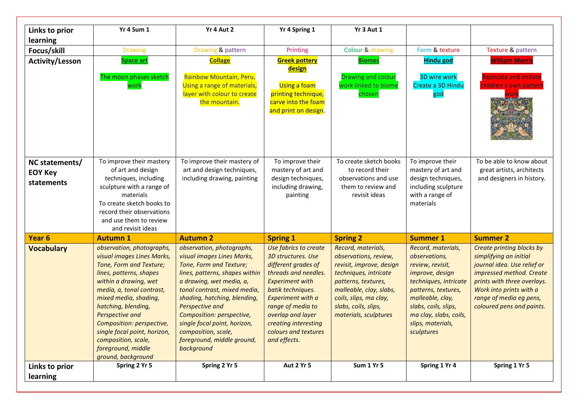| Links to prior<br><b>learning</b>              | Yr 4 Sum 1                                                                                                                                                                                                                                                                                                                                                             | Yr 4 Aut 2                                                                                                                                                                                                                                                                                                                                                          | Yr 4 Spring 1                                                                                                                                                                                                                                                                   | Yr 3 Aut 1                                                                                                                                                                                                                    |                                                                                                                                                                                                                                     |                                                                                                                                                                                                                                  |
|------------------------------------------------|------------------------------------------------------------------------------------------------------------------------------------------------------------------------------------------------------------------------------------------------------------------------------------------------------------------------------------------------------------------------|---------------------------------------------------------------------------------------------------------------------------------------------------------------------------------------------------------------------------------------------------------------------------------------------------------------------------------------------------------------------|---------------------------------------------------------------------------------------------------------------------------------------------------------------------------------------------------------------------------------------------------------------------------------|-------------------------------------------------------------------------------------------------------------------------------------------------------------------------------------------------------------------------------|-------------------------------------------------------------------------------------------------------------------------------------------------------------------------------------------------------------------------------------|----------------------------------------------------------------------------------------------------------------------------------------------------------------------------------------------------------------------------------|
| Focus/skill                                    | <b>Drawing</b>                                                                                                                                                                                                                                                                                                                                                         | Drawing & pattern                                                                                                                                                                                                                                                                                                                                                   | Printing                                                                                                                                                                                                                                                                        | Colour & drawing                                                                                                                                                                                                              | Form & texture                                                                                                                                                                                                                      | Texture & pattern                                                                                                                                                                                                                |
| <b>Activity/Lesson</b>                         | Space art<br>The moon phases sketch<br>work                                                                                                                                                                                                                                                                                                                            | <b>Collage</b><br>Rainbow Mountain, Peru.<br>Using a range of materials,<br>layer with colour to create<br>the mountain.                                                                                                                                                                                                                                            | <b>Greek pottery</b><br>design<br>Using a foam<br>printing technique,<br>carve into the foam<br>and print on design.                                                                                                                                                            | <b>Biomes</b><br><b>Drawing and colour</b><br>work linked to biome<br>chosen                                                                                                                                                  | <b>Hindu god</b><br>3D wire work<br>Create a 3D Hindu<br>god                                                                                                                                                                        | <b>William Morris</b><br><b>Replicate and imitate</b><br>children's own pattern                                                                                                                                                  |
| NC statements/<br><b>EOY Key</b><br>statements | To improve their mastery<br>of art and design<br>techniques, including<br>sculpture with a range of<br>materials<br>To create sketch books to<br>record their observations<br>and use them to review<br>and revisit ideas                                                                                                                                              | To improve their mastery of<br>art and design techniques,<br>including drawing, painting                                                                                                                                                                                                                                                                            | To improve their<br>mastery of art and<br>design techniques,<br>including drawing,<br>painting                                                                                                                                                                                  | To create sketch books<br>to record their<br>observations and use<br>them to review and<br>revisit ideas                                                                                                                      | To improve their<br>mastery of art and<br>design techniques,<br>including sculpture<br>with a range of<br>materials                                                                                                                 | To be able to know about<br>great artists, architects<br>and designers in history.                                                                                                                                               |
| Year <sub>6</sub>                              | <b>Autumn 1</b>                                                                                                                                                                                                                                                                                                                                                        | <b>Autumn 2</b>                                                                                                                                                                                                                                                                                                                                                     | <b>Spring 1</b>                                                                                                                                                                                                                                                                 | <b>Spring 2</b>                                                                                                                                                                                                               | <b>Summer 1</b>                                                                                                                                                                                                                     | <b>Summer 2</b>                                                                                                                                                                                                                  |
| <b>Vocabulary</b>                              | observation, photographs,<br>visual images Lines Marks,<br>Tone, Form and Texture;<br>lines, patterns, shapes<br>within a drawing, wet<br>media, a, tonal contrast,<br>mixed media, shading,<br>hatching, blending,<br>Perspective and<br>Composition: perspective,<br>single focal point, horizon,<br>composition, scale,<br>foreground, middle<br>ground, background | observation, photographs,<br>visual images Lines Marks,<br>Tone, Form and Texture;<br>lines, patterns, shapes within<br>a drawing, wet media, a,<br>tonal contrast, mixed media,<br>shading, hatching, blending,<br>Perspective and<br>Composition: perspective,<br>single focal point, horizon,<br>composition, scale,<br>foreground, middle ground,<br>background | Use fabrics to create<br>3D structures. Use<br>different grades of<br>threads and needles.<br><b>Experiment with</b><br>batik techniques.<br><b>Experiment with a</b><br>range of media to<br>overlap and layer<br>creating interesting<br>colours and textures<br>and effects. | Record, materials,<br>observations, review,<br>revisit, improve, design<br>techniques, intricate<br>patterns, textures,<br>malleable, clay, slabs,<br>coils, slips, ma clay,<br>slabs, coils, slips,<br>materials, sculptures | Record, materials,<br>observations,<br>review, revisit,<br>improve, design<br>techniques, intricate<br>patterns, textures,<br>malleable, clay,<br>slabs, coils, slips,<br>ma clay, slabs, coils,<br>slips, materials,<br>sculptures | Create printing blocks by<br>simplifying an initial<br>journal idea. Use relief or<br>impressed method. Create<br>prints with three overlays.<br>Work into prints with a<br>range of media eg pens,<br>coloured pens and paints. |
| Links to prior                                 | Spring 2 Yr 5                                                                                                                                                                                                                                                                                                                                                          | Spring 2 Yr 5                                                                                                                                                                                                                                                                                                                                                       | Aut 2 Yr 5                                                                                                                                                                                                                                                                      | <b>Sum 1 Yr 5</b>                                                                                                                                                                                                             | Spring 1 Yr 4                                                                                                                                                                                                                       | Spring 1 Yr 5                                                                                                                                                                                                                    |
| learning                                       |                                                                                                                                                                                                                                                                                                                                                                        |                                                                                                                                                                                                                                                                                                                                                                     |                                                                                                                                                                                                                                                                                 |                                                                                                                                                                                                                               |                                                                                                                                                                                                                                     |                                                                                                                                                                                                                                  |